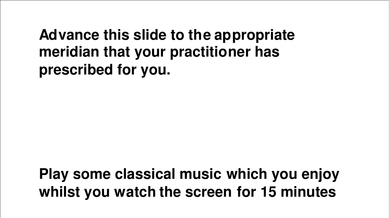### **Advance this slide to the appropriate meridian that your practitioner has prescribed for you.**

# **Play some classical music which you enjoy whilst you watch the screen for 15 minutes**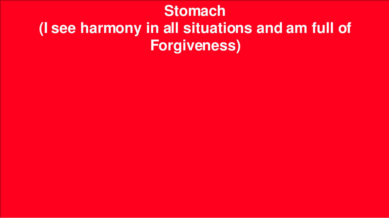# **Stomach (I see harmony in all situations and am full of Forgiveness)**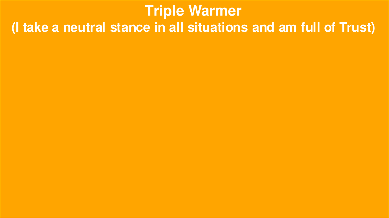# **Triple Warmer(I take a neutral stance in all situations and am full of Trust)**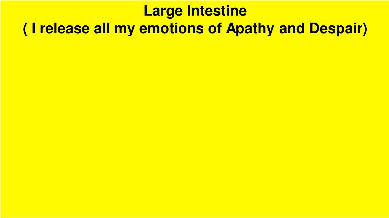# **Large Intestine** (I release all my emotions of Apathy and Despair)

- 
- 
- 
- 
- 
-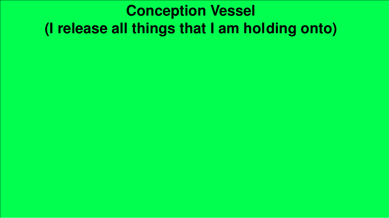### **Conception Vessel** (I release all things that I am holding onto)

- 
- 
- 
- -
	-
-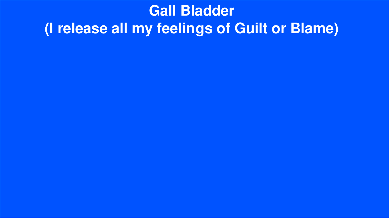### **Gall Bladder** (I release all my feelings of Guilt or Blame)

- 
- 
- -
- 
-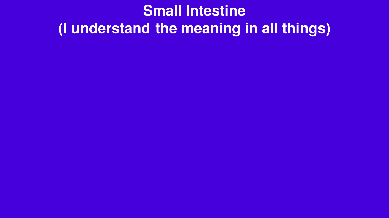# **Small Intestine** (I understand the meaning in all things)

- 
- 
- - -
-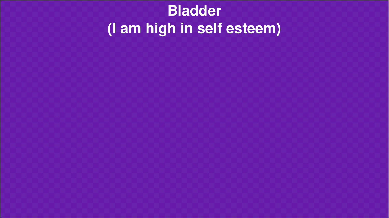# **Bladder(I am high in self esteem)**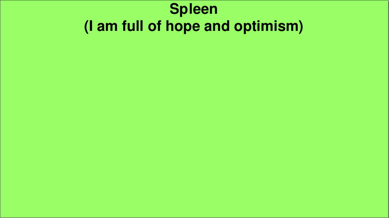### **Spleen** (I am full of hope and optimism)

- 
- 
- - -
	-
- 
-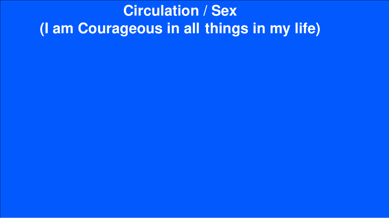### **Circulation / Sex** (I am Courageous in all things in my life)

- 
- 
- 
- 
- 
-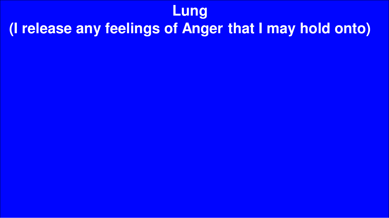#### **Lung**

# **(I release any feelings of Anger that I may hold onto)**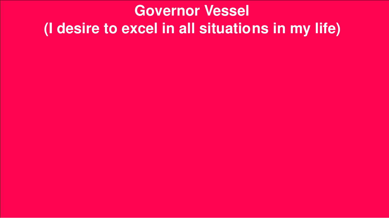# **Governor Vessel** (I desire to excel in all situations in my life)

- 
- - -
	-
	-
	-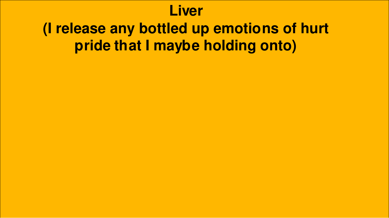#### **Liver**

### **(I release any bottled up emotions of hurt pride that I maybe holding onto)**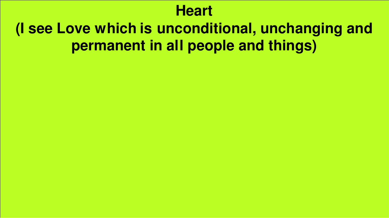#### **Heart**

### **(I see Love which is unconditional, unchanging and permanent in all people and things)**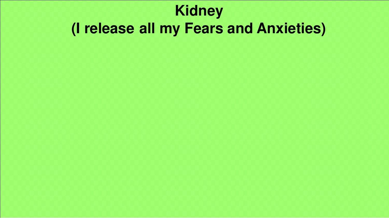# **Kidney** (I release all my Fears and Anxieties)

- -
- 
- 
- 
-